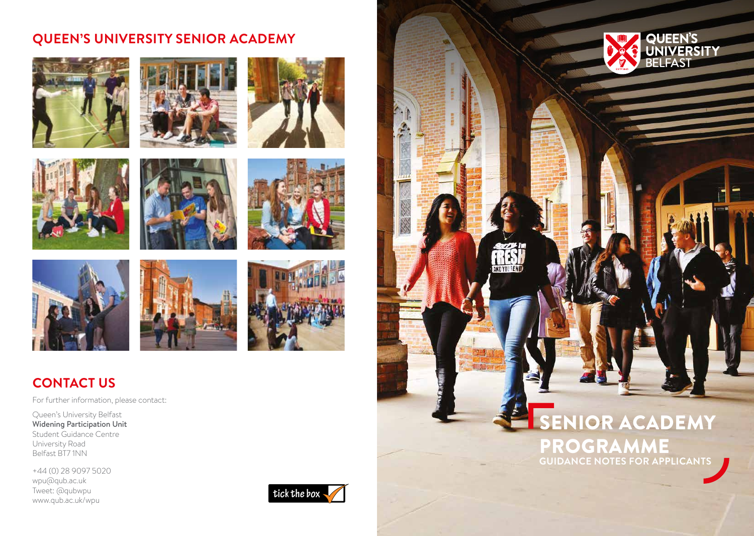# **QUEEN'S UNIVERSITY SENIOR ACADEMY**

















# **CONTACT US**

For further information, please contact:

Queen's University Belfast Widening Participation Unit Student Guidance Centre University Road Belfast BT7 1NN

+44 (0) 28 9097 5020 wpu@qub.ac.uk Tweet: @qubwpu www.qub.ac.uk/wpu









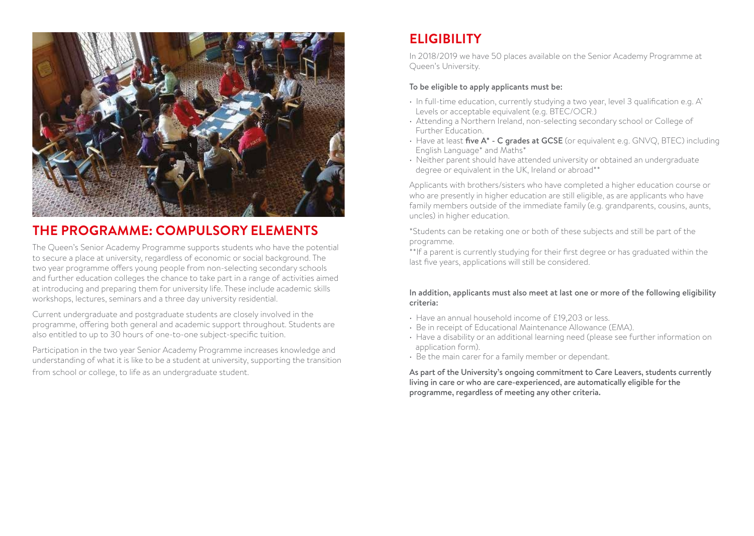

# **THE PROGRAMME: COMPULSORY ELEMENTS**

The Queen's Senior Academy Programme supports students who have the potential to secure a place at university, regardless of economic or social background. The two year programme offers young people from non-selecting secondary schools and further education colleges the chance to take part in a range of activities aimed at introducing and preparing them for university life. These include academic skills workshops, lectures, seminars and a three day university residential.

Current undergraduate and postgraduate students are closely involved in the programme, offering both general and academic support throughout. Students are also entitled to up to 30 hours of one-to-one subject-specific tuition.

Participation in the two year Senior Academy Programme increases knowledge and understanding of what it is like to be a student at university, supporting the transition from school or college, to life as an undergraduate student.

# **ELIGIBILITY**

In 2018/2019 we have 50 places available on the Senior Academy Programme at Queen's University.

### To be eligible to apply applicants must be:

- In full-time education, currently studying a two year, level 3 qualification e.g. A' Levels or acceptable equivalent (e.g. BTEC/OCR.)
- Attending a Northern Ireland, non-selecting secondary school or College of Further Education.
- Have at least five A\* C grades at GCSE (or equivalent e.g. GNVQ, BTEC) including English Language\* and Maths\*
- Neither parent should have attended university or obtained an undergraduate degree or equivalent in the UK, Ireland or abroad\*\*

Applicants with brothers/sisters who have completed a higher education course or who are presently in higher education are still eligible, as are applicants who have family members outside of the immediate family (e.g. grandparents, cousins, aunts, uncles) in higher education.

\*Students can be retaking one or both of these subjects and still be part of the programme.

\*\*If a parent is currently studying for their first degree or has graduated within the last five years, applications will still be considered.

#### In addition, applicants must also meet at last one or more of the following eligibility criteria:

- Have an annual household income of £19,203 or less.
- Be in receipt of Educational Maintenance Allowance (EMA).
- Have a disability or an additional learning need (please see further information on application form).
- Be the main carer for a family member or dependant.

As part of the University's ongoing commitment to Care Leavers, students currently living in care or who are care-experienced, are automatically eligible for the programme, regardless of meeting any other criteria.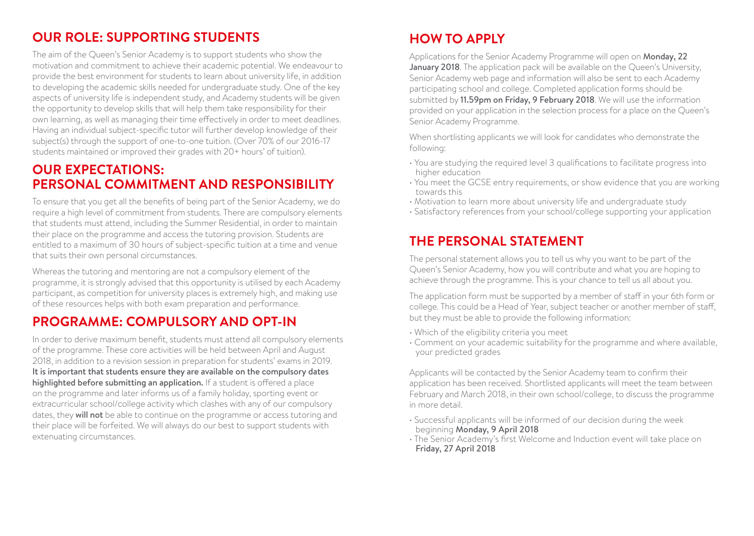# **OUR ROLE: SUPPORTING STUDENTS**

The aim of the Queen's Senior Academy is to support students who show the motivation and commitment to achieve their academic potential. We endeavour to provide the best environment for students to learn about university life, in addition to developing the academic skills needed for undergraduate study. One of the key aspects of university life is independent study, and Academy students will be given the opportunity to develop skills that will help them take responsibility for their own learning, as well as managing their time effectively in order to meet deadlines. Having an individual subject-specific tutor will further develop knowledge of their subject(s) through the support of one-to-one tuition. (Over 70% of our 2016-17 students maintained or improved their grades with 20+ hours' of tuition).

### **OUR EXPECTATIONS: PERSONAL COMMITMENT AND RESPONSIBILITY**

To ensure that you get all the benefits of being part of the Senior Academy, we do require a high level of commitment from students. There are compulsory elements that students must attend, including the Summer Residential, in order to maintain their place on the programme and access the tutoring provision. Students are entitled to a maximum of 30 hours of subject-specific tuition at a time and venue that suits their own personal circumstances.

Whereas the tutoring and mentoring are not a compulsory element of the programme, it is strongly advised that this opportunity is utilised by each Academy participant, as competition for university places is extremely high, and making use of these resources helps with both exam preparation and performance.

# **PROGRAMME: COMPULSORY AND OPT-IN**

In order to derive maximum benefit, students must attend all compulsory elements of the programme. These core activities will be held between April and August 2018, in addition to a revision session in preparation for students' exams in 2019. It is important that students ensure they are available on the compulsory dates highlighted before submitting an application. If a student is offered a place on the programme and later informs us of a family holiday, sporting event or extracurricular school/college activity which clashes with any of our compulsory dates, they will not be able to continue on the programme or access tutoring and their place will be forfeited. We will always do our best to support students with extenuating circumstances.

# **HOW TO APPLY**

Applications for the Senior Academy Programme will open on Monday, 22 January 2018. The application pack will be available on the Queen's University. Senior Academy web page and information will also be sent to each Academy participating school and college. Completed application forms should be submitted by 11.59pm on Friday, 9 February 2018. We will use the information provided on your application in the selection process for a place on the Queen's Senior Academy Programme.

When shortlisting applicants we will look for candidates who demonstrate the following:

- You are studying the required level 3 qualifications to facilitate progress into higher education
- You meet the GCSE entry requirements, or show evidence that you are working towards this
- Motivation to learn more about university life and undergraduate study
- Satisfactory references from your school/college supporting your application

# **THE PERSONAL STATEMENT**

The personal statement allows you to tell us why you want to be part of the Queen's Senior Academy, how you will contribute and what you are hoping to achieve through the programme. This is your chance to tell us all about you.

The application form must be supported by a member of staff in your 6th form or college. This could be a Head of Year, subject teacher or another member of staff, but they must be able to provide the following information:

- Which of the eligibility criteria you meet
- Comment on your academic suitability for the programme and where available, your predicted grades

Applicants will be contacted by the Senior Academy team to confirm their application has been received. Shortlisted applicants will meet the team between February and March 2018, in their own school/college, to discuss the programme in more detail.

- Successful applicants will be informed of our decision during the week beginning Monday, 9 April 2018
- The Senior Academy's first Welcome and Induction event will take place on Friday, 27 April 2018